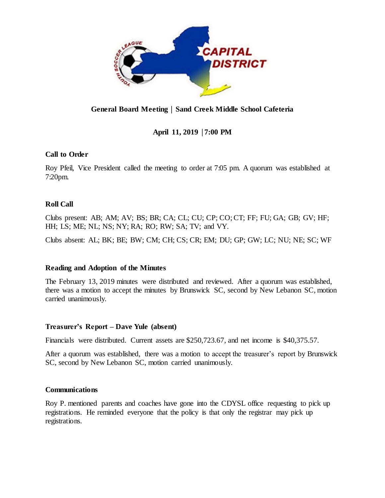

# **General Board Meeting** │ **Sand Creek Middle School Cafeteria**

# **April 11, 2019** │**7:00 PM**

## **Call to Order**

Roy Pfeil, Vice President called the meeting to order at 7:05 pm. A quorum was established at 7:20pm.

## **Roll Call**

Clubs present: AB; AM; AV; BS; BR; CA; CL; CU; CP; CO; CT; FF; FU; GA; GB; GV; HF; HH; LS; ME; NL; NS; NY; RA; RO; RW; SA; TV; and VY.

Clubs absent: AL; BK; BE; BW; CM; CH; CS; CR; EM; DU; GP; GW; LC; NU; NE; SC; WF

## **Reading and Adoption of the Minutes**

The February 13, 2019 minutes were distributed and reviewed. After a quorum was established, there was a motion to accept the minutes by Brunswick SC, second by New Lebanon SC, motion carried unanimously.

## **Treasurer's Report – Dave Yule (absent)**

Financials were distributed. Current assets are \$250,723.67, and net income is \$40,375.57.

After a quorum was established, there was a motion to accept the treasurer's report by Brunswick SC, second by New Lebanon SC, motion carried unanimously.

## **Communications**

Roy P. mentioned parents and coaches have gone into the CDYSL office requesting to pick up registrations. He reminded everyone that the policy is that only the registrar may pick up registrations.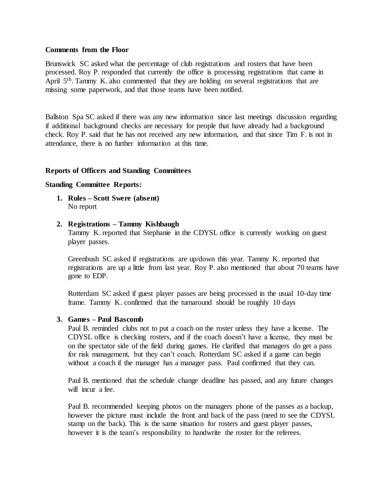#### **Comments from the Floor**

Brunswick SC asked what the percentage of club registrations and rosters that have been processed. Roy P. responded that currently the office is processing registrations that came in April 5<sup>th</sup>. Tammy K, also commented that they are holding on several registrations that are missing some paperwork, and that those teams have been notified.

Ballston Spa SC asked if there was any new information since last meetings discussion regarding if additional background checks are necessary for people that have already had a background check. Roy P. said that he has not received any new information, and that since Tim F. is not in attendance, there is no further information at this time.

### **Reports of Officers and Standing Committees**

#### **Standing Committee Reports:**

**1. Rules – Scott Swere (absent)** No report

### **2. Registrations – Tammy Kishbaugh**

Tammy K. reported that Stephanie in the CDYSL office is currently working on guest player passes.

Greenbush SC asked if registrations are up/down this year. Tammy K. reported that registrations are up a little from last year. Roy P. also mentioned that about 70 teams have gone to EDP.

Rotterdam SC asked if guest player passes are being processed in the usual 10-day time frame. Tammy K. confirmed that the turnaround should be roughly 10 days

#### **3. Games – Paul Bascomb**

Paul B. reminded clubs not to put a coach on the roster unless they have a license. The CDYSL office is checking rosters, and if the coach doesn't have a license, they must be on the spectator side of the field during games. He clarified that managers do get a pass for risk management, but they can't coach. Rotterdam SC asked if a game can begin without a coach if the manager has a manager pass. Paul confirmed that they can.

Paul B. mentioned that the schedule change deadline has passed, and any future changes will incur a fee.

Paul B. recommended keeping photos on the managers phone of the passes as a backup, however the picture must include the front and back of the pass (need to see the CDYSL stamp on the back). This is the same situation for rosters and guest player passes, however it is the team's responsibility to handwrite the roster for the referees.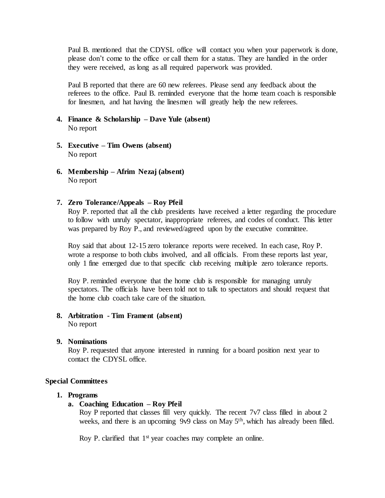Paul B. mentioned that the CDYSL office will contact you when your paperwork is done, please don't come to the office or call them for a status. They are handled in the order they were received, as long as all required paperwork was provided.

Paul B reported that there are 60 new referees. Please send any feedback about the referees to the office. Paul B. reminded everyone that the home team coach is responsible for linesmen, and hat having the linesmen will greatly help the new referees.

- **4. Finance & Scholarship – Dave Yule (absent)** No report
- **5. Executive – Tim Owens (absent)** No report
- **6. Membership – Afrim Nezaj (absent)** No report

#### **7. Zero Tolerance/Appeals – Roy Pfeil**

Roy P. reported that all the club presidents have received a letter regarding the procedure to follow with unruly spectator, inappropriate referees, and codes of conduct. This letter was prepared by Roy P., and reviewed/agreed upon by the executive committee.

Roy said that about 12-15 zero tolerance reports were received. In each case, Roy P. wrote a response to both clubs involved, and all officials. From these reports last year, only 1 fine emerged due to that specific club receiving multiple zero tolerance reports.

Roy P. reminded everyone that the home club is responsible for managing unruly spectators. The officials have been told not to talk to spectators and should request that the home club coach take care of the situation.

**8. Arbitration - Tim Frament (absent)** No report

#### **9. Nominations**

Roy P. requested that anyone interested in running for a board position next year to contact the CDYSL office.

#### **Special Committees**

#### **1. Programs**

#### **a. Coaching Education – Roy Pfeil**

Roy P reported that classes fill very quickly. The recent 7v7 class filled in about 2 weeks, and there is an upcoming 9v9 class on May 5<sup>th</sup>, which has already been filled.

Roy P. clarified that 1<sup>st</sup> year coaches may complete an online.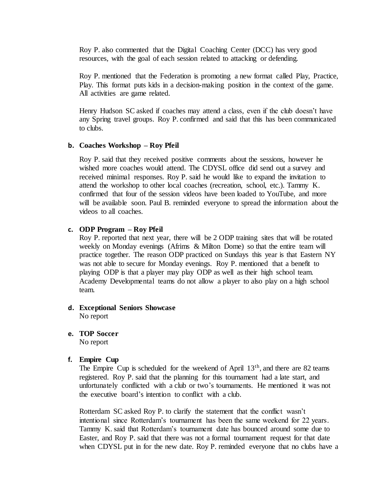Roy P. also commented that the Digital Coaching Center (DCC) has very good resources, with the goal of each session related to attacking or defending.

Roy P. mentioned that the Federation is promoting a new format called Play, Practice, Play. This format puts kids in a decision-making position in the context of the game. All activities are game related.

Henry Hudson SC asked if coaches may attend a class, even if the club doesn't have any Spring travel groups. Roy P. confirmed and said that this has been communicated to clubs.

#### **b. Coaches Workshop – Roy Pfeil**

Roy P. said that they received positive comments about the sessions, however he wished more coaches would attend. The CDYSL office did send out a survey and received minimal responses. Roy P. said he would like to expand the invitation to attend the workshop to other local coaches (recreation, school, etc.). Tammy K. confirmed that four of the session videos have been loaded to YouTube, and more will be available soon. Paul B. reminded everyone to spread the information about the videos to all coaches.

#### **c. ODP Program – Roy Pfeil**

Roy P. reported that next year, there will be 2 ODP training sites that will be rotated weekly on Monday evenings (Afrims & Milton Dome) so that the entire team will practice together. The reason ODP practiced on Sundays this year is that Eastern NY was not able to secure for Monday evenings. Roy P. mentioned that a benefit to playing ODP is that a player may play ODP as well as their high school team. Academy Developmental teams do not allow a player to also play on a high school team.

- **d. Exceptional Seniors Showcase** No report
- **e. TOP Soccer**

No report

#### **f. Empire Cup**

The Empire Cup is scheduled for the weekend of April 13<sup>th</sup>, and there are 82 teams registered. Roy P. said that the planning for this tournament had a late start, and unfortunately conflicted with a club or two's tournaments. He mentioned it was not the executive board's intention to conflict with a club.

Rotterdam SC asked Roy P. to clarify the statement that the conflict wasn't intentional since Rotterdam's tournament has been the same weekend for 22 years. Tammy K. said that Rotterdam's tournament date has bounced around some due to Easter, and Roy P. said that there was not a formal tournament request for that date when CDYSL put in for the new date. Roy P. reminded everyone that no clubs have a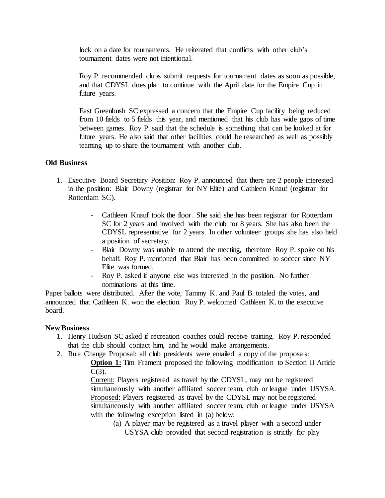lock on a date for tournaments. He reiterated that conflicts with other club's tournament dates were not intentional.

Roy P. recommended clubs submit requests for tournament dates as soon as possible, and that CDYSL does plan to continue with the April date for the Empire Cup in future years.

East Greenbush SC expressed a concern that the Empire Cup facility being reduced from 10 fields to 5 fields this year, and mentioned that his club has wide gaps of time between games. Roy P. said that the schedule is something that can be looked at for future years. He also said that other facilities could be researched as well as possibly teaming up to share the tournament with another club.

#### **Old Business**

- 1. Executive Board Secretary Position: Roy P. announced that there are 2 people interested in the position: Blair Downy (registrar for NY Elite) and Cathleen Knauf (registrar for Rotterdam SC).
	- Cathleen Knauf took the floor. She said she has been registrar for Rotterdam SC for 2 years and involved with the club for 8 years. She has also been the CDYSL representative for 2 years. In other volunteer groups she has also held a position of secretary.
	- Blair Downy was unable to attend the meeting, therefore Roy P. spoke on his behalf. Roy P. mentioned that Blair has been committed to soccer since NY Elite was formed.
	- Roy P. asked if anyone else was interested in the position. No further nominations at this time.

Paper ballots were distributed. After the vote, Tammy K. and Paul B. totaled the votes, and announced that Cathleen K. won the election. Roy P. welcomed Cathleen K. to the executive board.

#### **New Business**

- 1. Henry Hudson SC asked if recreation coaches could receive training. Roy P. responded that the club should contact him, and he would make arrangements.
- 2. Rule Change Proposal: all club presidents were emailed a copy of the proposals:

**Option 1:** Tim Frament proposed the following modification to Section II Article  $C(3)$ .

Current: Players registered as travel by the CDYSL, may not be registered simultaneously with another affiliated soccer team, club or league under USYSA. Proposed: Players registered as travel by the CDYSL may not be registered simultaneously with another affiliated soccer team, club or league under USYSA with the following exception listed in (a) below:

(a) A player may be registered as a travel player with a second under USYSA club provided that second registration is strictly for play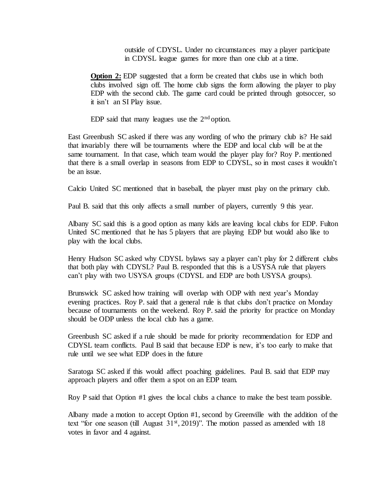outside of CDYSL. Under no circumstances may a player participate in CDYSL league games for more than one club at a time.

**Option 2:** EDP suggested that a form be created that clubs use in which both clubs involved sign off. The home club signs the form allowing the player to play EDP with the second club. The game card could be printed through gotsoccer, so it isn't an SI Play issue.

EDP said that many leagues use the  $2<sup>nd</sup>$  option.

East Greenbush SC asked if there was any wording of who the primary club is? He said that invariably there will be tournaments where the EDP and local club will be at the same tournament. In that case, which team would the player play for? Roy P. mentioned that there is a small overlap in seasons from EDP to CDYSL, so in most cases it wouldn't be an issue.

Calcio United SC mentioned that in baseball, the player must play on the primary club.

Paul B. said that this only affects a small number of players, currently 9 this year.

Albany SC said this is a good option as many kids are leaving local clubs for EDP. Fulton United SC mentioned that he has 5 players that are playing EDP but would also like to play with the local clubs.

Henry Hudson SC asked why CDYSL bylaws say a player can't play for 2 different clubs that both play with CDYSL? Paul B. responded that this is a USYSA rule that players can't play with two USYSA groups (CDYSL and EDP are both USYSA groups).

Brunswick SC asked how training will overlap with ODP with next year's Monday evening practices. Roy P. said that a general rule is that clubs don't practice on Monday because of tournaments on the weekend. Roy P. said the priority for practice on Monday should be ODP unless the local club has a game.

Greenbush SC asked if a rule should be made for priority recommendation for EDP and CDYSL team conflicts. Paul B said that because EDP is new, it's too early to make that rule until we see what EDP does in the future

Saratoga SC asked if this would affect poaching guidelines. Paul B. said that EDP may approach players and offer them a spot on an EDP team.

Roy P said that Option #1 gives the local clubs a chance to make the best team possible.

Albany made a motion to accept Option #1, second by Greenville with the addition of the text "for one season (till August  $31<sup>st</sup>$ , 2019)". The motion passed as amended with 18 votes in favor and 4 against.